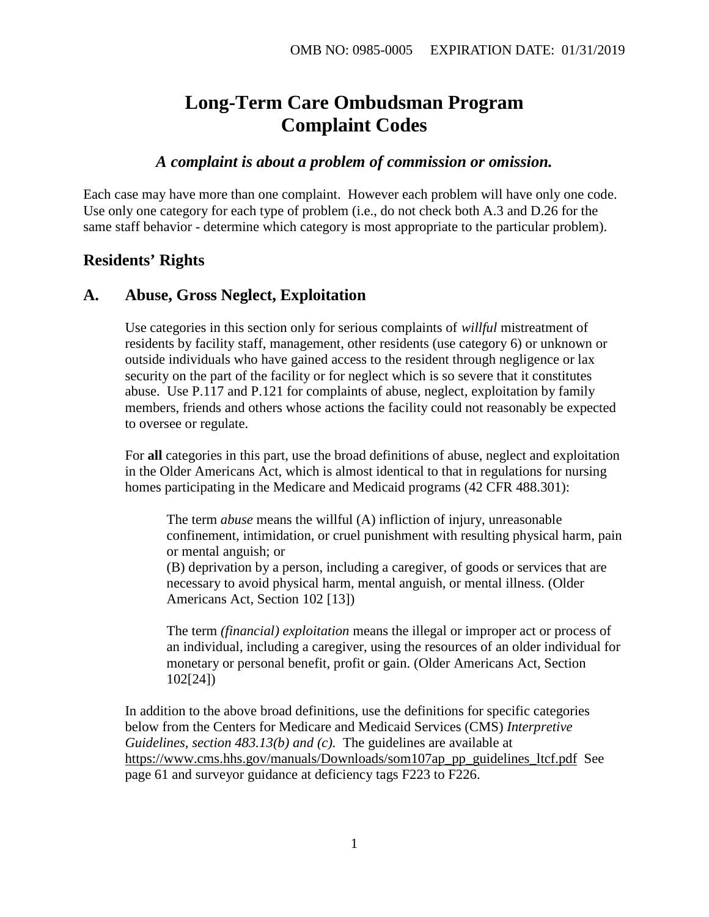# **Long-Term Care Ombudsman Program Complaint Codes**

## *A complaint is about a problem of commission or omission.*

Each case may have more than one complaint. However each problem will have only one code. Use only one category for each type of problem (i.e., do not check both A.3 and D.26 for the same staff behavior - determine which category is most appropriate to the particular problem).

## **Residents' Rights**

## **A. Abuse, Gross Neglect, Exploitation**

Use categories in this section only for serious complaints of *willful* mistreatment of residents by facility staff, management, other residents (use category 6) or unknown or outside individuals who have gained access to the resident through negligence or lax security on the part of the facility or for neglect which is so severe that it constitutes abuse. Use P.117 and P.121 for complaints of abuse, neglect, exploitation by family members, friends and others whose actions the facility could not reasonably be expected to oversee or regulate.

For **all** categories in this part, use the broad definitions of abuse, neglect and exploitation in the Older Americans Act, which is almost identical to that in regulations for nursing homes participating in the Medicare and Medicaid programs (42 CFR 488.301):

The term *abuse* means the willful (A) infliction of injury, unreasonable confinement, intimidation, or cruel punishment with resulting physical harm, pain or mental anguish; or

(B) deprivation by a person, including a caregiver, of goods or services that are necessary to avoid physical harm, mental anguish, or mental illness. (Older Americans Act, Section 102 [13])

The term *(financial) exploitation* means the illegal or improper act or process of an individual, including a caregiver, using the resources of an older individual for monetary or personal benefit, profit or gain. (Older Americans Act, Section 102[24])

In addition to the above broad definitions, use the definitions for specific categories below from the Centers for Medicare and Medicaid Services (CMS) *Interpretive Guidelines, section 483.13(b) and (c).* The guidelines are available at [https://www.cms.hhs.gov/manuals/Downloads/som107ap\\_pp\\_guidelines\\_ltcf.pdf](https://www.cms.hhs.gov/manuals/Downloads/som107ap_pp_guidelines_ltcf.pdf) See page 61 and surveyor guidance at deficiency tags F223 to F226.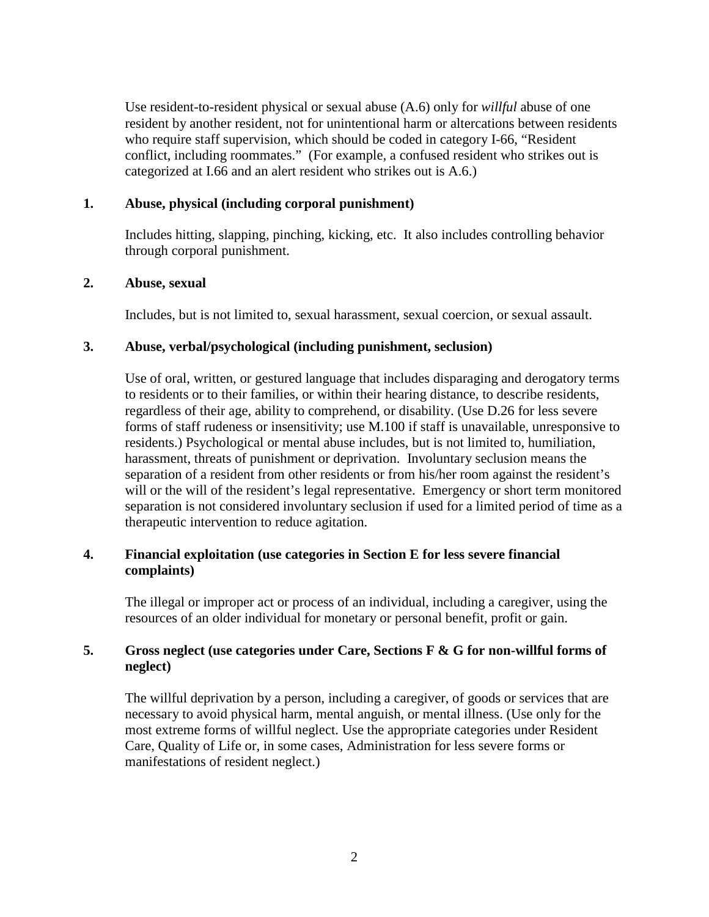Use resident-to-resident physical or sexual abuse (A.6) only for *willful* abuse of one resident by another resident, not for unintentional harm or altercations between residents who require staff supervision, which should be coded in category I-66, "Resident conflict, including roommates." (For example, a confused resident who strikes out is categorized at I.66 and an alert resident who strikes out is A.6.)

## **1. Abuse, physical (including corporal punishment)**

Includes hitting, slapping, pinching, kicking, etc. It also includes controlling behavior through corporal punishment.

## **2. Abuse, sexual**

Includes, but is not limited to, sexual harassment, sexual coercion, or sexual assault.

## **3. Abuse, verbal/psychological (including punishment, seclusion)**

Use of oral, written, or gestured language that includes disparaging and derogatory terms to residents or to their families, or within their hearing distance, to describe residents, regardless of their age, ability to comprehend, or disability. (Use D.26 for less severe forms of staff rudeness or insensitivity; use M.100 if staff is unavailable, unresponsive to residents.) Psychological or mental abuse includes, but is not limited to, humiliation, harassment, threats of punishment or deprivation. Involuntary seclusion means the separation of a resident from other residents or from his/her room against the resident's will or the will of the resident's legal representative. Emergency or short term monitored separation is not considered involuntary seclusion if used for a limited period of time as a therapeutic intervention to reduce agitation.

## **4. Financial exploitation (use categories in Section E for less severe financial complaints)**

The illegal or improper act or process of an individual, including a caregiver, using the resources of an older individual for monetary or personal benefit, profit or gain.

## **5. Gross neglect (use categories under Care, Sections F & G for non-willful forms of neglect)**

The willful deprivation by a person, including a caregiver, of goods or services that are necessary to avoid physical harm, mental anguish, or mental illness. (Use only for the most extreme forms of willful neglect. Use the appropriate categories under Resident Care, Quality of Life or, in some cases, Administration for less severe forms or manifestations of resident neglect.)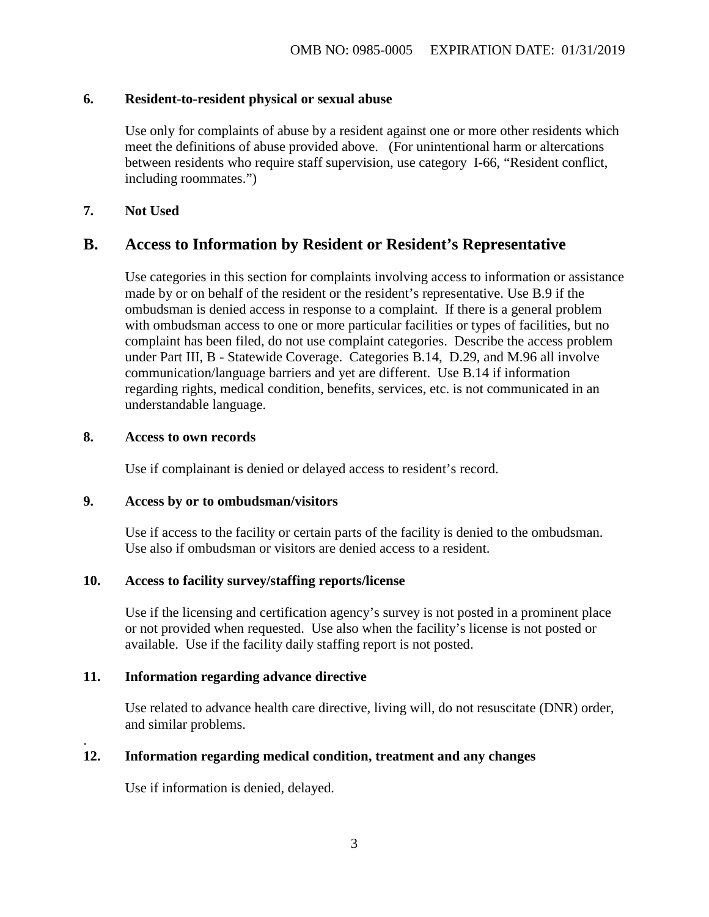### **6. Resident-to-resident physical or sexual abuse**

Use only for complaints of abuse by a resident against one or more other residents which meet the definitions of abuse provided above. (For unintentional harm or altercations between residents who require staff supervision, use category I-66, "Resident conflict, including roommates.")

## **7. Not Used**

## **B. Access to Information by Resident or Resident's Representative**

Use categories in this section for complaints involving access to information or assistance made by or on behalf of the resident or the resident's representative. Use B.9 if the ombudsman is denied access in response to a complaint. If there is a general problem with ombudsman access to one or more particular facilities or types of facilities, but no complaint has been filed, do not use complaint categories. Describe the access problem under Part III, B - Statewide Coverage. Categories B.14, D.29, and M.96 all involve communication/language barriers and yet are different. Use B.14 if information regarding rights, medical condition, benefits, services, etc. is not communicated in an understandable language.

#### **8. Access to own records**

.

Use if complainant is denied or delayed access to resident's record.

### **9. Access by or to ombudsman/visitors**

Use if access to the facility or certain parts of the facility is denied to the ombudsman. Use also if ombudsman or visitors are denied access to a resident.

## **10. Access to facility survey/staffing reports/license**

Use if the licensing and certification agency's survey is not posted in a prominent place or not provided when requested. Use also when the facility's license is not posted or available. Use if the facility daily staffing report is not posted.

## **11. Information regarding advance directive**

Use related to advance health care directive, living will, do not resuscitate (DNR) order, and similar problems.

## **12. Information regarding medical condition, treatment and any changes**

Use if information is denied, delayed.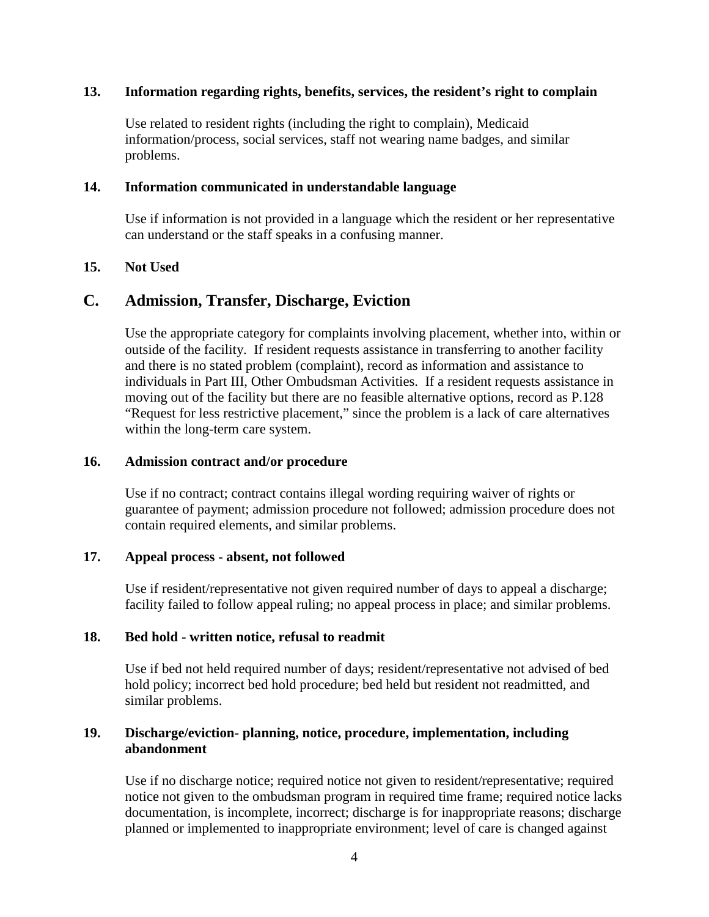### **13. Information regarding rights, benefits, services, the resident's right to complain**

Use related to resident rights (including the right to complain), Medicaid information/process, social services, staff not wearing name badges, and similar problems.

#### **14. Information communicated in understandable language**

Use if information is not provided in a language which the resident or her representative can understand or the staff speaks in a confusing manner.

## **15. Not Used**

## **C. Admission, Transfer, Discharge, Eviction**

Use the appropriate category for complaints involving placement, whether into, within or outside of the facility. If resident requests assistance in transferring to another facility and there is no stated problem (complaint), record as information and assistance to individuals in Part III, Other Ombudsman Activities. If a resident requests assistance in moving out of the facility but there are no feasible alternative options, record as P.128 "Request for less restrictive placement," since the problem is a lack of care alternatives within the long-term care system.

### **16. Admission contract and/or procedure**

Use if no contract; contract contains illegal wording requiring waiver of rights or guarantee of payment; admission procedure not followed; admission procedure does not contain required elements, and similar problems.

## **17. Appeal process - absent, not followed**

Use if resident/representative not given required number of days to appeal a discharge; facility failed to follow appeal ruling; no appeal process in place; and similar problems.

## **18. Bed hold - written notice, refusal to readmit**

Use if bed not held required number of days; resident/representative not advised of bed hold policy; incorrect bed hold procedure; bed held but resident not readmitted, and similar problems.

## **19. Discharge/eviction- planning, notice, procedure, implementation, including abandonment**

Use if no discharge notice; required notice not given to resident/representative; required notice not given to the ombudsman program in required time frame; required notice lacks documentation, is incomplete, incorrect; discharge is for inappropriate reasons; discharge planned or implemented to inappropriate environment; level of care is changed against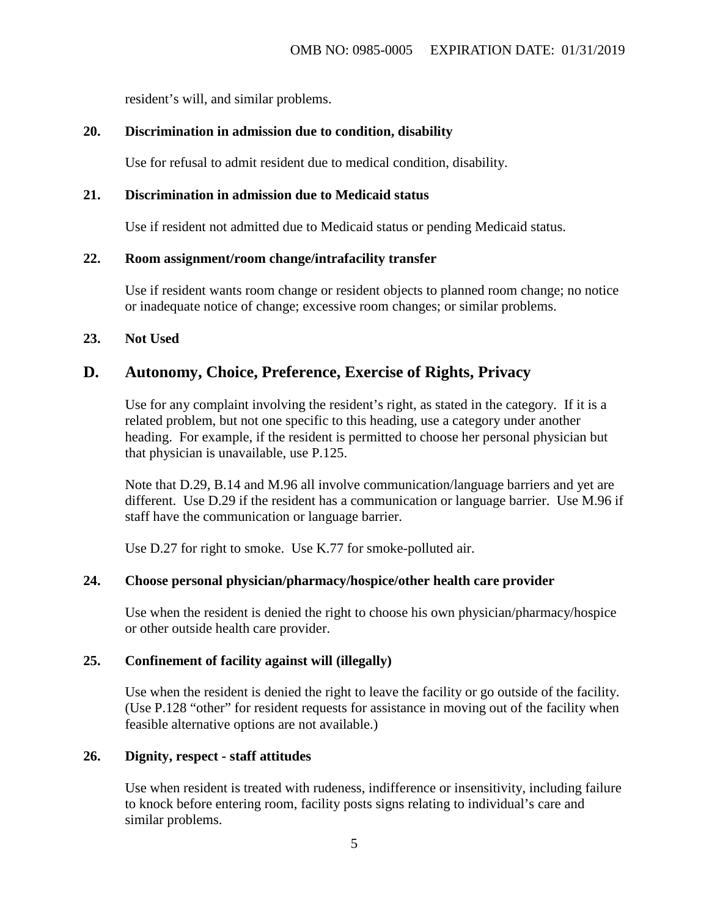resident's will, and similar problems.

## **20. Discrimination in admission due to condition, disability**

Use for refusal to admit resident due to medical condition, disability.

## **21. Discrimination in admission due to Medicaid status**

Use if resident not admitted due to Medicaid status or pending Medicaid status.

## **22. Room assignment/room change/intrafacility transfer**

Use if resident wants room change or resident objects to planned room change; no notice or inadequate notice of change; excessive room changes; or similar problems.

## **23. Not Used**

## **D. Autonomy, Choice, Preference, Exercise of Rights, Privacy**

Use for any complaint involving the resident's right, as stated in the category. If it is a related problem, but not one specific to this heading, use a category under another heading. For example, if the resident is permitted to choose her personal physician but that physician is unavailable, use P.125.

Note that D.29, B.14 and M.96 all involve communication/language barriers and yet are different. Use D.29 if the resident has a communication or language barrier. Use M.96 if staff have the communication or language barrier.

Use D.27 for right to smoke. Use K.77 for smoke-polluted air.

## **24. Choose personal physician/pharmacy/hospice/other health care provider**

Use when the resident is denied the right to choose his own physician/pharmacy/hospice or other outside health care provider.

## **25. Confinement of facility against will (illegally)**

Use when the resident is denied the right to leave the facility or go outside of the facility. (Use P.128 "other" for resident requests for assistance in moving out of the facility when feasible alternative options are not available.)

## **26. Dignity, respect - staff attitudes**

Use when resident is treated with rudeness, indifference or insensitivity, including failure to knock before entering room, facility posts signs relating to individual's care and similar problems.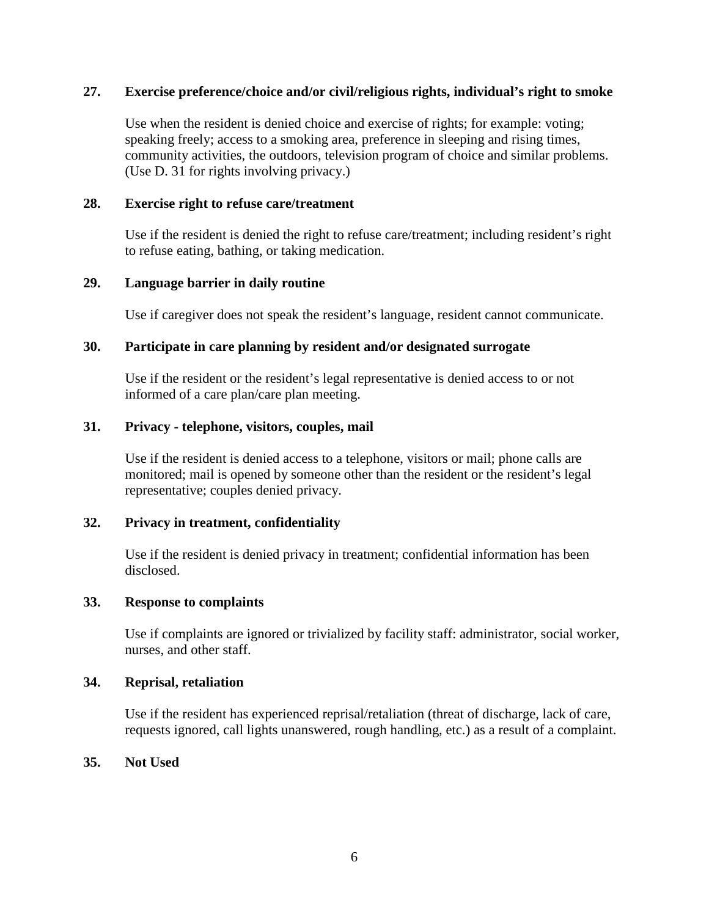## **27. Exercise preference/choice and/or civil/religious rights, individual's right to smoke**

Use when the resident is denied choice and exercise of rights; for example: voting; speaking freely; access to a smoking area, preference in sleeping and rising times, community activities, the outdoors, television program of choice and similar problems. (Use D. 31 for rights involving privacy.)

### **28. Exercise right to refuse care/treatment**

Use if the resident is denied the right to refuse care/treatment; including resident's right to refuse eating, bathing, or taking medication.

## **29. Language barrier in daily routine**

Use if caregiver does not speak the resident's language, resident cannot communicate.

## **30. Participate in care planning by resident and/or designated surrogate**

Use if the resident or the resident's legal representative is denied access to or not informed of a care plan/care plan meeting.

## **31. Privacy - telephone, visitors, couples, mail**

Use if the resident is denied access to a telephone, visitors or mail; phone calls are monitored; mail is opened by someone other than the resident or the resident's legal representative; couples denied privacy.

## **32. Privacy in treatment, confidentiality**

Use if the resident is denied privacy in treatment; confidential information has been disclosed.

#### **33. Response to complaints**

Use if complaints are ignored or trivialized by facility staff: administrator, social worker, nurses, and other staff.

#### **34. Reprisal, retaliation**

Use if the resident has experienced reprisal/retaliation (threat of discharge, lack of care, requests ignored, call lights unanswered, rough handling, etc.) as a result of a complaint.

## **35. Not Used**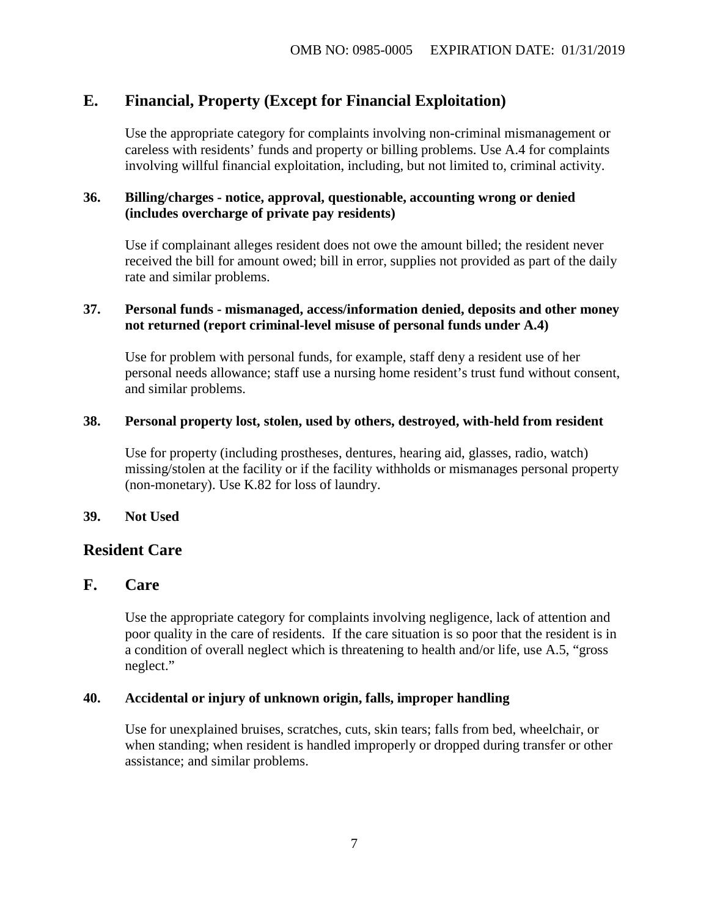## **E. Financial, Property (Except for Financial Exploitation)**

Use the appropriate category for complaints involving non-criminal mismanagement or careless with residents' funds and property or billing problems. Use A.4 for complaints involving willful financial exploitation, including, but not limited to, criminal activity.

## **36. Billing/charges - notice, approval, questionable, accounting wrong or denied (includes overcharge of private pay residents)**

Use if complainant alleges resident does not owe the amount billed; the resident never received the bill for amount owed; bill in error, supplies not provided as part of the daily rate and similar problems.

## **37. Personal funds - mismanaged, access/information denied, deposits and other money not returned (report criminal-level misuse of personal funds under A.4)**

Use for problem with personal funds, for example, staff deny a resident use of her personal needs allowance; staff use a nursing home resident's trust fund without consent, and similar problems.

## **38. Personal property lost, stolen, used by others, destroyed, with-held from resident**

Use for property (including prostheses, dentures, hearing aid, glasses, radio, watch) missing/stolen at the facility or if the facility withholds or mismanages personal property (non-monetary). Use K.82 for loss of laundry.

## **39. Not Used**

## **Resident Care**

## **F. Care**

Use the appropriate category for complaints involving negligence, lack of attention and poor quality in the care of residents. If the care situation is so poor that the resident is in a condition of overall neglect which is threatening to health and/or life, use A.5, "gross neglect."

## **40. Accidental or injury of unknown origin, falls, improper handling**

Use for unexplained bruises, scratches, cuts, skin tears; falls from bed, wheelchair, or when standing; when resident is handled improperly or dropped during transfer or other assistance; and similar problems.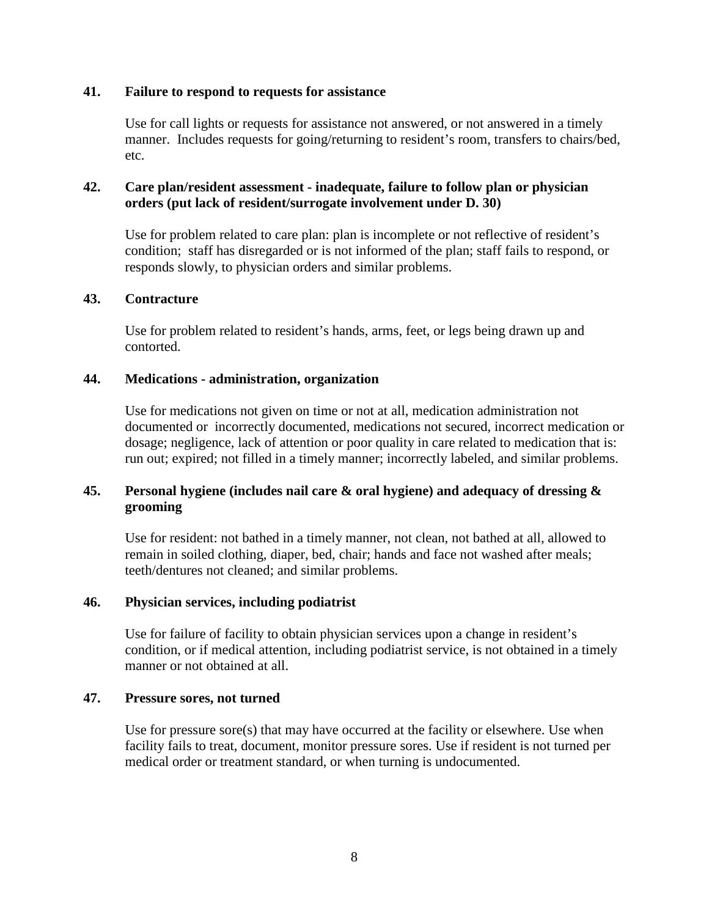### **41. Failure to respond to requests for assistance**

Use for call lights or requests for assistance not answered, or not answered in a timely manner. Includes requests for going/returning to resident's room, transfers to chairs/bed, etc.

## **42. Care plan/resident assessment - inadequate, failure to follow plan or physician orders (put lack of resident/surrogate involvement under D. 30)**

Use for problem related to care plan: plan is incomplete or not reflective of resident's condition; staff has disregarded or is not informed of the plan; staff fails to respond, or responds slowly, to physician orders and similar problems.

#### **43. Contracture**

Use for problem related to resident's hands, arms, feet, or legs being drawn up and contorted.

#### **44. Medications - administration, organization**

Use for medications not given on time or not at all, medication administration not documented or incorrectly documented, medications not secured, incorrect medication or dosage; negligence, lack of attention or poor quality in care related to medication that is: run out; expired; not filled in a timely manner; incorrectly labeled, and similar problems.

## **45. Personal hygiene (includes nail care & oral hygiene) and adequacy of dressing & grooming**

Use for resident: not bathed in a timely manner, not clean, not bathed at all, allowed to remain in soiled clothing, diaper, bed, chair; hands and face not washed after meals; teeth/dentures not cleaned; and similar problems.

#### **46. Physician services, including podiatrist**

Use for failure of facility to obtain physician services upon a change in resident's condition, or if medical attention, including podiatrist service, is not obtained in a timely manner or not obtained at all.

#### **47. Pressure sores, not turned**

Use for pressure sore(s) that may have occurred at the facility or elsewhere. Use when facility fails to treat, document, monitor pressure sores. Use if resident is not turned per medical order or treatment standard, or when turning is undocumented.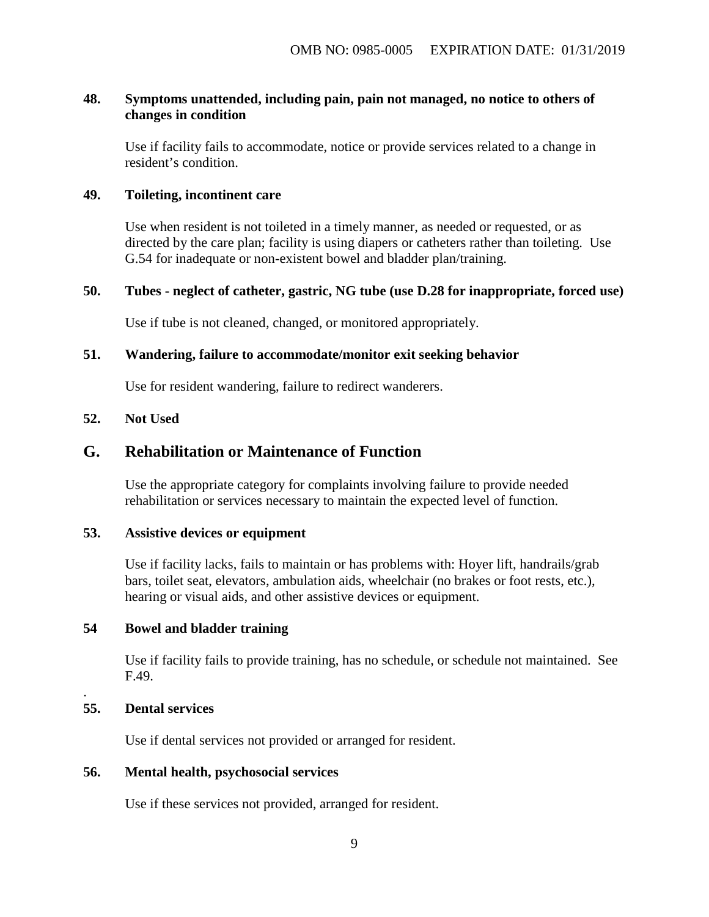## **48. Symptoms unattended, including pain, pain not managed, no notice to others of changes in condition**

Use if facility fails to accommodate, notice or provide services related to a change in resident's condition.

#### **49. Toileting, incontinent care**

Use when resident is not toileted in a timely manner, as needed or requested, or as directed by the care plan; facility is using diapers or catheters rather than toileting. Use G.54 for inadequate or non-existent bowel and bladder plan/training.

#### **50. Tubes - neglect of catheter, gastric, NG tube (use D.28 for inappropriate, forced use)**

Use if tube is not cleaned, changed, or monitored appropriately.

### **51. Wandering, failure to accommodate/monitor exit seeking behavior**

Use for resident wandering, failure to redirect wanderers.

#### **52. Not Used**

## **G. Rehabilitation or Maintenance of Function**

Use the appropriate category for complaints involving failure to provide needed rehabilitation or services necessary to maintain the expected level of function.

#### **53. Assistive devices or equipment**

Use if facility lacks, fails to maintain or has problems with: Hoyer lift, handrails/grab bars, toilet seat, elevators, ambulation aids, wheelchair (no brakes or foot rests, etc.), hearing or visual aids, and other assistive devices or equipment.

#### **54 Bowel and bladder training**

Use if facility fails to provide training, has no schedule, or schedule not maintained.See F.49.

#### **55. Dental services**

.

Use if dental services not provided or arranged for resident.

### **56. Mental health, psychosocial services**

Use if these services not provided, arranged for resident.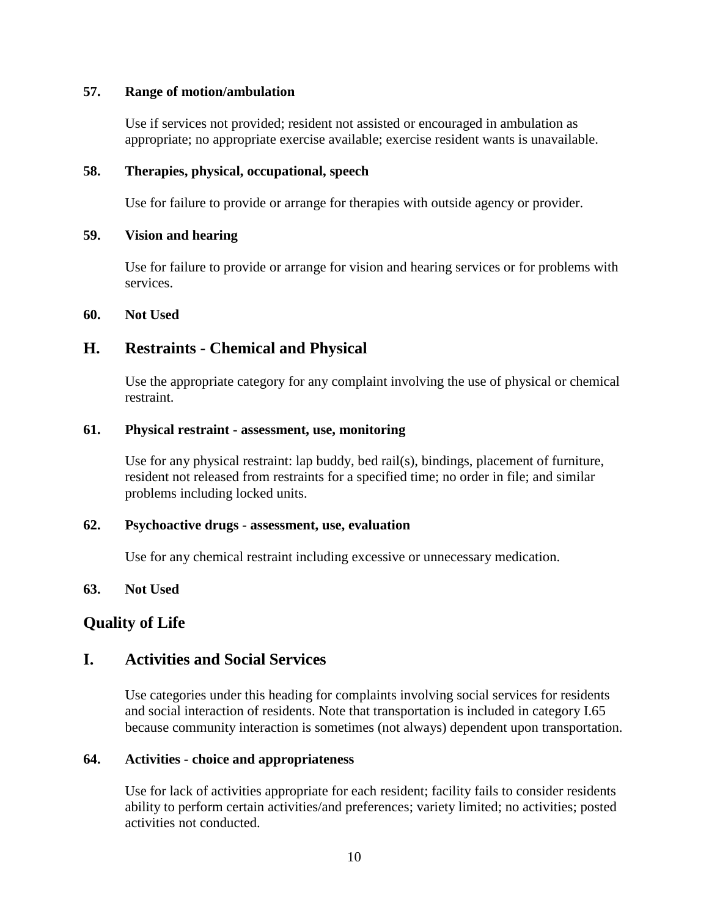## **57. Range of motion/ambulation**

Use if services not provided; resident not assisted or encouraged in ambulation as appropriate; no appropriate exercise available; exercise resident wants is unavailable.

## **58. Therapies, physical, occupational, speech**

Use for failure to provide or arrange for therapies with outside agency or provider.

## **59. Vision and hearing**

Use for failure to provide or arrange for vision and hearing services or for problems with services.

## **60. Not Used**

## **H. Restraints - Chemical and Physical**

Use the appropriate category for any complaint involving the use of physical or chemical restraint.

## **61. Physical restraint - assessment, use, monitoring**

Use for any physical restraint: lap buddy, bed rail(s), bindings, placement of furniture, resident not released from restraints for a specified time; no order in file; and similar problems including locked units.

## **62. Psychoactive drugs - assessment, use, evaluation**

Use for any chemical restraint including excessive or unnecessary medication.

## **63. Not Used**

## **Quality of Life**

## **I. Activities and Social Services**

Use categories under this heading for complaints involving social services for residents and social interaction of residents. Note that transportation is included in category I.65 because community interaction is sometimes (not always) dependent upon transportation.

## **64. Activities - choice and appropriateness**

Use for lack of activities appropriate for each resident; facility fails to consider residents ability to perform certain activities/and preferences; variety limited; no activities; posted activities not conducted.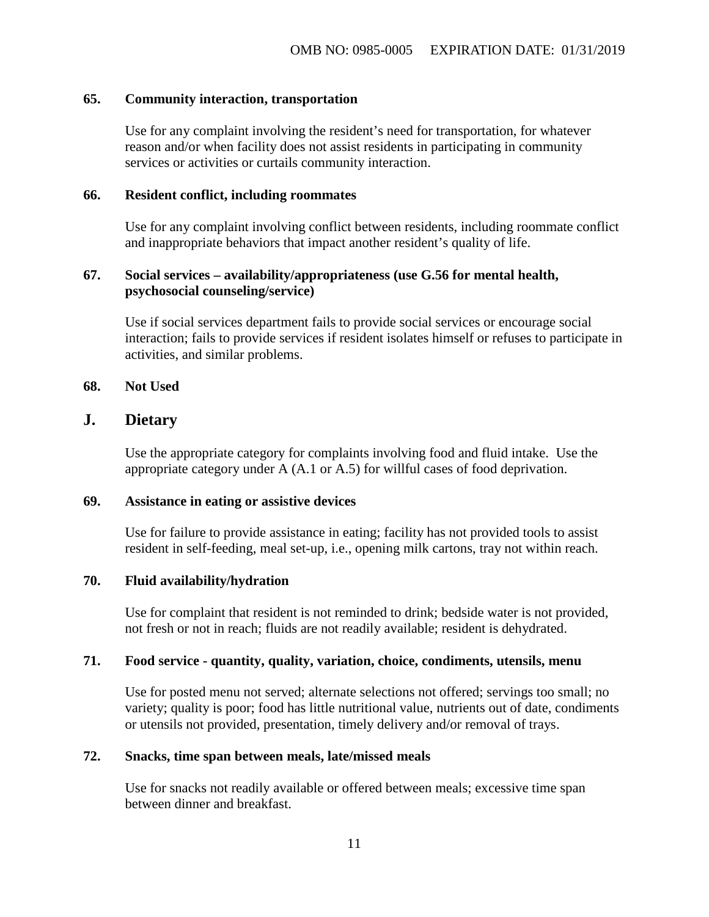#### **65. Community interaction, transportation**

Use for any complaint involving the resident's need for transportation, for whatever reason and/or when facility does not assist residents in participating in community services or activities or curtails community interaction.

#### **66. Resident conflict, including roommates**

Use for any complaint involving conflict between residents, including roommate conflict and inappropriate behaviors that impact another resident's quality of life.

## **67. Social services – availability/appropriateness (use G.56 for mental health, psychosocial counseling/service)**

Use if social services department fails to provide social services or encourage social interaction; fails to provide services if resident isolates himself or refuses to participate in activities, and similar problems.

#### **68. Not Used**

## **J. Dietary**

Use the appropriate category for complaints involving food and fluid intake. Use the appropriate category under A (A.1 or A.5) for willful cases of food deprivation.

#### **69. Assistance in eating or assistive devices**

Use for failure to provide assistance in eating; facility has not provided tools to assist resident in self-feeding, meal set-up, i.e., opening milk cartons, tray not within reach.

## **70. Fluid availability/hydration**

Use for complaint that resident is not reminded to drink; bedside water is not provided, not fresh or not in reach; fluids are not readily available; resident is dehydrated.

#### **71. Food service - quantity, quality, variation, choice, condiments, utensils, menu**

Use for posted menu not served; alternate selections not offered; servings too small; no variety; quality is poor; food has little nutritional value, nutrients out of date, condiments or utensils not provided, presentation, timely delivery and/or removal of trays.

#### **72. Snacks, time span between meals, late/missed meals**

Use for snacks not readily available or offered between meals; excessive time span between dinner and breakfast.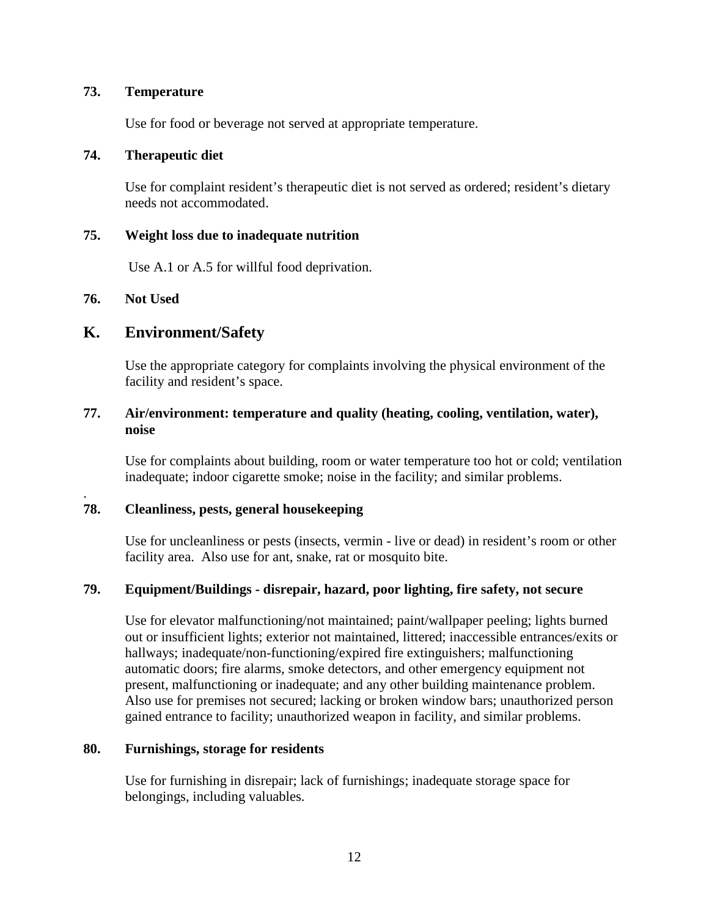### **73. Temperature**

Use for food or beverage not served at appropriate temperature.

### **74. Therapeutic diet**

Use for complaint resident's therapeutic diet is not served as ordered; resident's dietary needs not accommodated.

### **75. Weight loss due to inadequate nutrition**

Use A.1 or A.5 for willful food deprivation.

## **76. Not Used**

.

## **K. Environment/Safety**

Use the appropriate category for complaints involving the physical environment of the facility and resident's space.

## **77. Air/environment: temperature and quality (heating, cooling, ventilation, water), noise**

Use for complaints about building, room or water temperature too hot or cold; ventilation inadequate; indoor cigarette smoke; noise in the facility; and similar problems.

## **78. Cleanliness, pests, general housekeeping**

Use for uncleanliness or pests (insects, vermin - live or dead) in resident's room or other facility area. Also use for ant, snake, rat or mosquito bite.

## **79. Equipment/Buildings - disrepair, hazard, poor lighting, fire safety, not secure**

Use for elevator malfunctioning/not maintained; paint/wallpaper peeling; lights burned out or insufficient lights; exterior not maintained, littered; inaccessible entrances/exits or hallways; inadequate/non-functioning/expired fire extinguishers; malfunctioning automatic doors; fire alarms, smoke detectors, and other emergency equipment not present, malfunctioning or inadequate; and any other building maintenance problem. Also use for premises not secured; lacking or broken window bars; unauthorized person gained entrance to facility; unauthorized weapon in facility, and similar problems.

## **80. Furnishings, storage for residents**

Use for furnishing in disrepair; lack of furnishings; inadequate storage space for belongings, including valuables.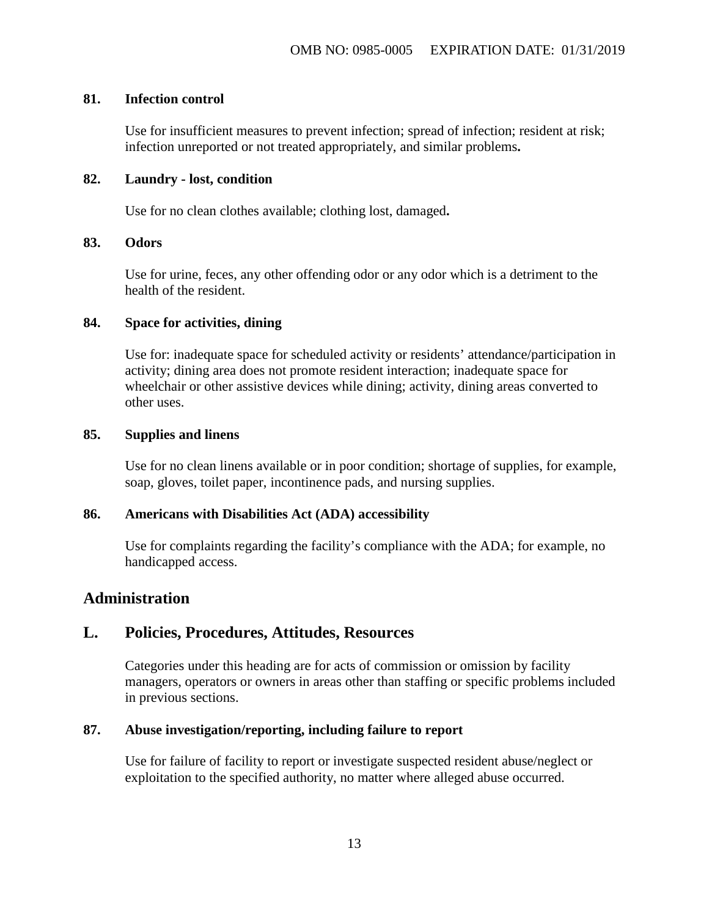#### **81. Infection control**

Use for insufficient measures to prevent infection; spread of infection; resident at risk; infection unreported or not treated appropriately, and similar problems**.**

## **82. Laundry - lost, condition**

Use for no clean clothes available; clothing lost, damaged**.**

## **83. Odors**

Use for urine, feces, any other offending odor or any odor which is a detriment to the health of the resident.

#### **84. Space for activities, dining**

Use for: inadequate space for scheduled activity or residents' attendance/participation in activity; dining area does not promote resident interaction; inadequate space for wheelchair or other assistive devices while dining; activity, dining areas converted to other uses.

#### **85. Supplies and linens**

Use for no clean linens available or in poor condition; shortage of supplies, for example, soap, gloves, toilet paper, incontinence pads, and nursing supplies.

## **86. Americans with Disabilities Act (ADA) accessibility**

Use for complaints regarding the facility's compliance with the ADA; for example, no handicapped access.

## **Administration**

## **L. Policies, Procedures, Attitudes, Resources**

Categories under this heading are for acts of commission or omission by facility managers, operators or owners in areas other than staffing or specific problems included in previous sections.

## **87. Abuse investigation/reporting, including failure to report**

Use for failure of facility to report or investigate suspected resident abuse/neglect or exploitation to the specified authority, no matter where alleged abuse occurred.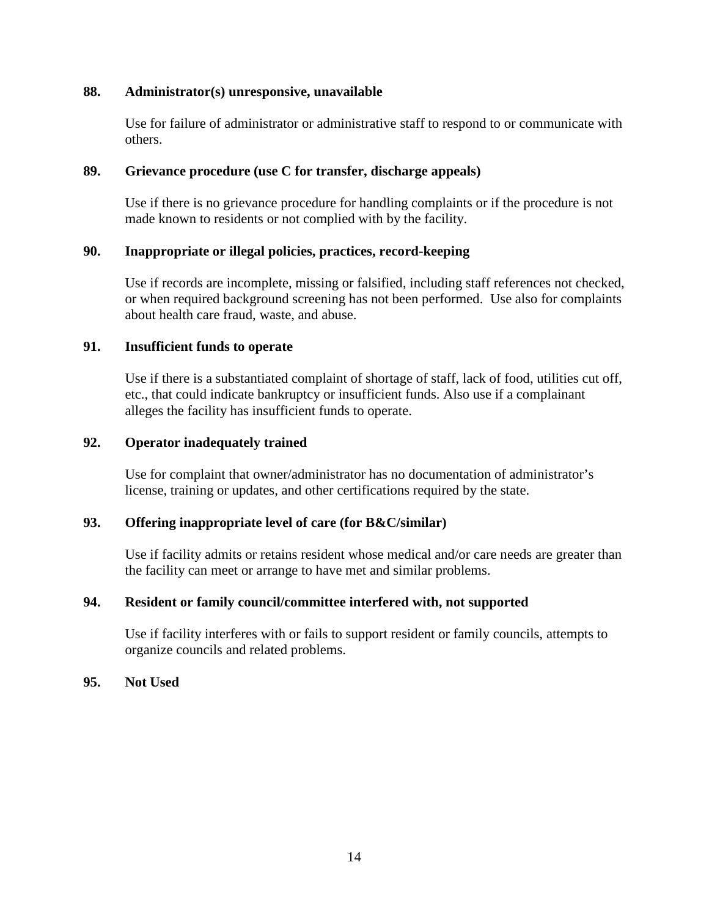## **88. Administrator(s) unresponsive, unavailable**

Use for failure of administrator or administrative staff to respond to or communicate with others.

### **89. Grievance procedure (use C for transfer, discharge appeals)**

Use if there is no grievance procedure for handling complaints or if the procedure is not made known to residents or not complied with by the facility.

## **90. Inappropriate or illegal policies, practices, record-keeping**

Use if records are incomplete, missing or falsified, including staff references not checked, or when required background screening has not been performed. Use also for complaints about health care fraud, waste, and abuse.

#### **91. Insufficient funds to operate**

Use if there is a substantiated complaint of shortage of staff, lack of food, utilities cut off, etc., that could indicate bankruptcy or insufficient funds. Also use if a complainant alleges the facility has insufficient funds to operate.

### **92. Operator inadequately trained**

Use for complaint that owner/administrator has no documentation of administrator's license, training or updates, and other certifications required by the state.

## **93. Offering inappropriate level of care (for B&C/similar)**

Use if facility admits or retains resident whose medical and/or care needs are greater than the facility can meet or arrange to have met and similar problems.

## **94. Resident or family council/committee interfered with, not supported**

Use if facility interferes with or fails to support resident or family councils, attempts to organize councils and related problems.

#### **95. Not Used**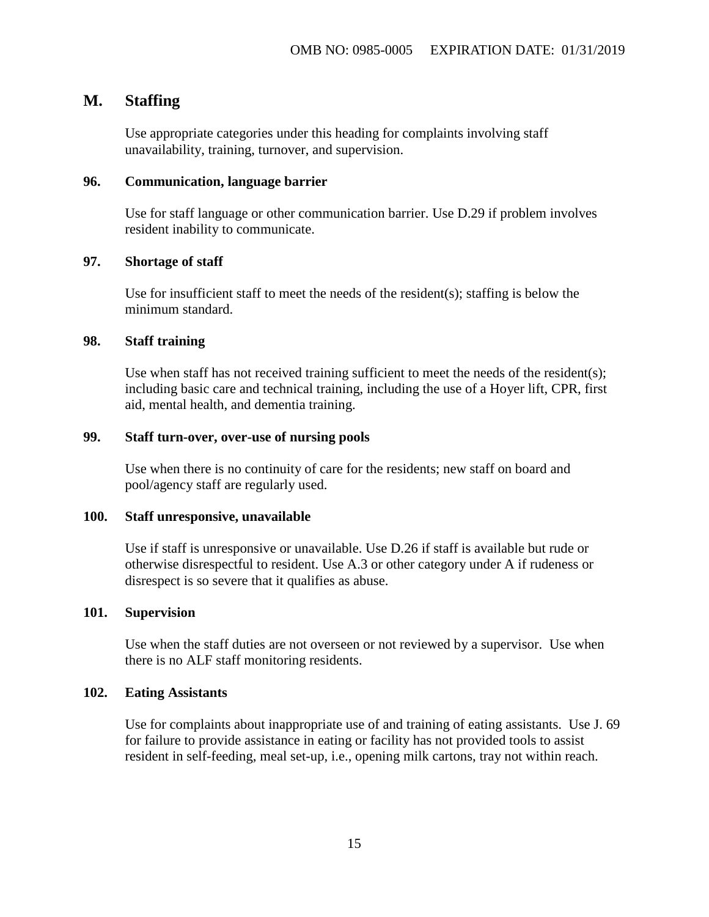## **M. Staffing**

Use appropriate categories under this heading for complaints involving staff unavailability, training, turnover, and supervision.

#### **96. Communication, language barrier**

Use for staff language or other communication barrier. Use D.29 if problem involves resident inability to communicate.

#### **97. Shortage of staff**

Use for insufficient staff to meet the needs of the resident(s); staffing is below the minimum standard.

### **98. Staff training**

Use when staff has not received training sufficient to meet the needs of the resident(s); including basic care and technical training, including the use of a Hoyer lift, CPR, first aid, mental health, and dementia training.

### **99. Staff turn-over, over-use of nursing pools**

Use when there is no continuity of care for the residents; new staff on board and pool/agency staff are regularly used.

#### **100. Staff unresponsive, unavailable**

Use if staff is unresponsive or unavailable. Use D.26 if staff is available but rude or otherwise disrespectful to resident. Use A.3 or other category under A if rudeness or disrespect is so severe that it qualifies as abuse.

### **101. Supervision**

Use when the staff duties are not overseen or not reviewed by a supervisor. Use when there is no ALF staff monitoring residents.

#### **102. Eating Assistants**

Use for complaints about inappropriate use of and training of eating assistants. Use J. 69 for failure to provide assistance in eating or facility has not provided tools to assist resident in self-feeding, meal set-up, i.e., opening milk cartons, tray not within reach.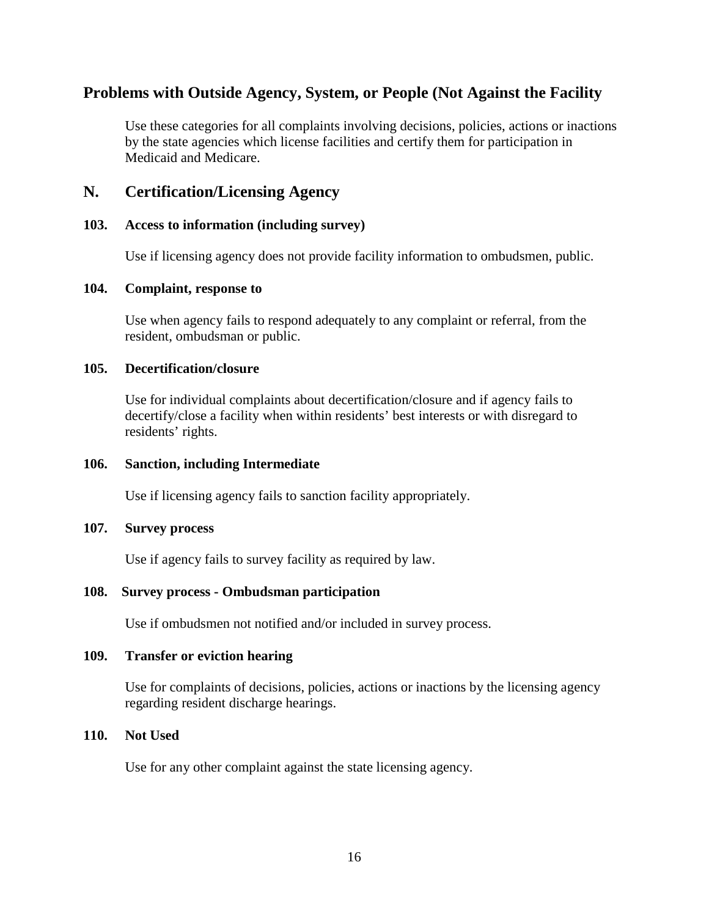## **Problems with Outside Agency, System, or People (Not Against the Facility**

Use these categories for all complaints involving decisions, policies, actions or inactions by the state agencies which license facilities and certify them for participation in Medicaid and Medicare.

## **N. Certification/Licensing Agency**

## **103. Access to information (including survey)**

Use if licensing agency does not provide facility information to ombudsmen, public.

## **104. Complaint, response to**

Use when agency fails to respond adequately to any complaint or referral, from the resident, ombudsman or public.

#### **105. Decertification/closure**

Use for individual complaints about decertification/closure and if agency fails to decertify/close a facility when within residents' best interests or with disregard to residents' rights.

## **106. Sanction, including Intermediate**

Use if licensing agency fails to sanction facility appropriately.

## **107. Survey process**

Use if agency fails to survey facility as required by law.

## **108. Survey process - Ombudsman participation**

Use if ombudsmen not notified and/or included in survey process.

## **109. Transfer or eviction hearing**

Use for complaints of decisions, policies, actions or inactions by the licensing agency regarding resident discharge hearings.

## **110. Not Used**

Use for any other complaint against the state licensing agency.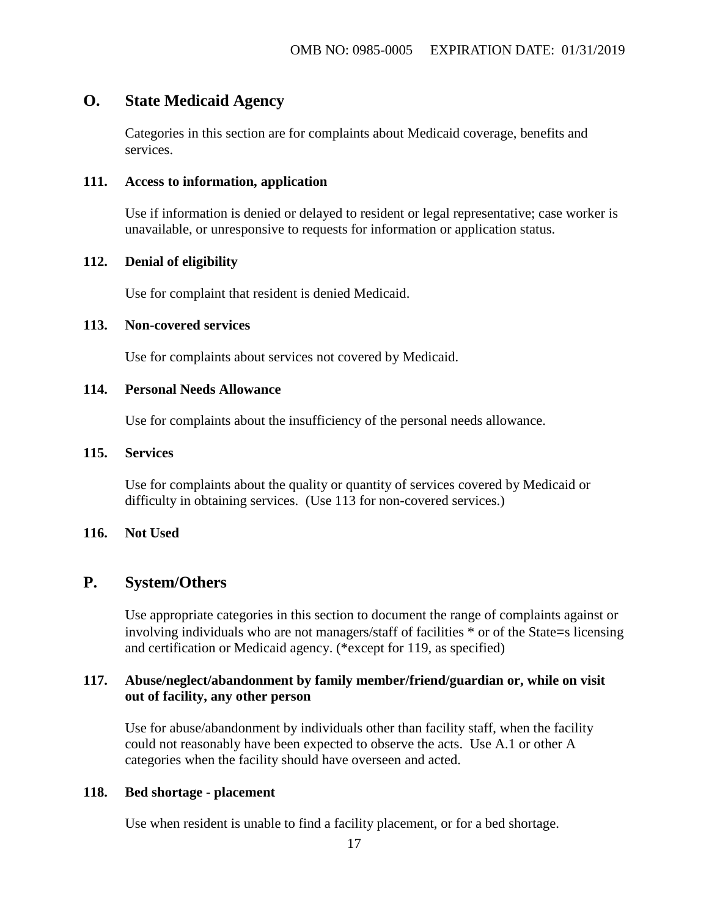## **O. State Medicaid Agency**

Categories in this section are for complaints about Medicaid coverage, benefits and services.

#### **111. Access to information, application**

Use if information is denied or delayed to resident or legal representative; case worker is unavailable, or unresponsive to requests for information or application status.

### **112. Denial of eligibility**

Use for complaint that resident is denied Medicaid.

#### **113. Non-covered services**

Use for complaints about services not covered by Medicaid.

## **114. Personal Needs Allowance**

Use for complaints about the insufficiency of the personal needs allowance.

#### **115. Services**

Use for complaints about the quality or quantity of services covered by Medicaid or difficulty in obtaining services. (Use 113 for non-covered services.)

## **116. Not Used**

## **P. System/Others**

Use appropriate categories in this section to document the range of complaints against or involving individuals who are not managers/staff of facilities \* or of the State=s licensing and certification or Medicaid agency. (\*except for 119, as specified)

## **117. Abuse/neglect/abandonment by family member/friend/guardian or, while on visit out of facility, any other person**

Use for abuse/abandonment by individuals other than facility staff, when the facility could not reasonably have been expected to observe the acts. Use A.1 or other A categories when the facility should have overseen and acted.

#### **118. Bed shortage - placement**

Use when resident is unable to find a facility placement, or for a bed shortage.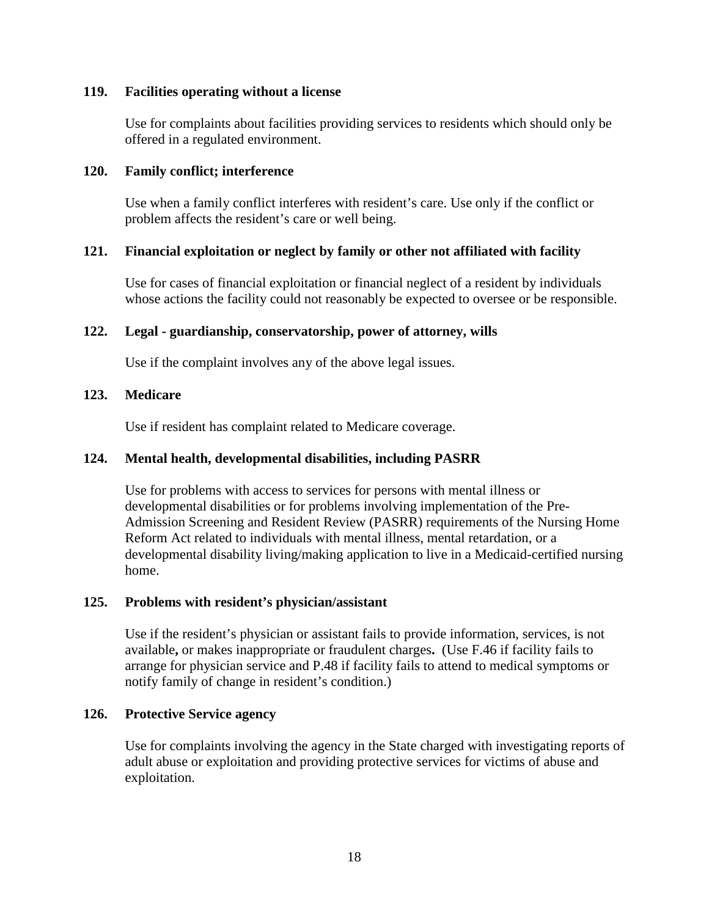## **119. Facilities operating without a license**

Use for complaints about facilities providing services to residents which should only be offered in a regulated environment.

### **120. Family conflict; interference**

Use when a family conflict interferes with resident's care. Use only if the conflict or problem affects the resident's care or well being.

## **121. Financial exploitation or neglect by family or other not affiliated with facility**

Use for cases of financial exploitation or financial neglect of a resident by individuals whose actions the facility could not reasonably be expected to oversee or be responsible.

## **122. Legal - guardianship, conservatorship, power of attorney, wills**

Use if the complaint involves any of the above legal issues.

## **123. Medicare**

Use if resident has complaint related to Medicare coverage.

## **124. Mental health, developmental disabilities, including PASRR**

Use for problems with access to services for persons with mental illness or developmental disabilities or for problems involving implementation of the Pre-Admission Screening and Resident Review (PASRR) requirements of the Nursing Home Reform Act related to individuals with mental illness, mental retardation, or a developmental disability living/making application to live in a Medicaid-certified nursing home.

## **125. Problems with resident's physician/assistant**

Use if the resident's physician or assistant fails to provide information, services, is not available**,** or makes inappropriate or fraudulent charges**.** (Use F.46 if facility fails to arrange for physician service and P.48 if facility fails to attend to medical symptoms or notify family of change in resident's condition.)

## **126. Protective Service agency**

Use for complaints involving the agency in the State charged with investigating reports of adult abuse or exploitation and providing protective services for victims of abuse and exploitation.